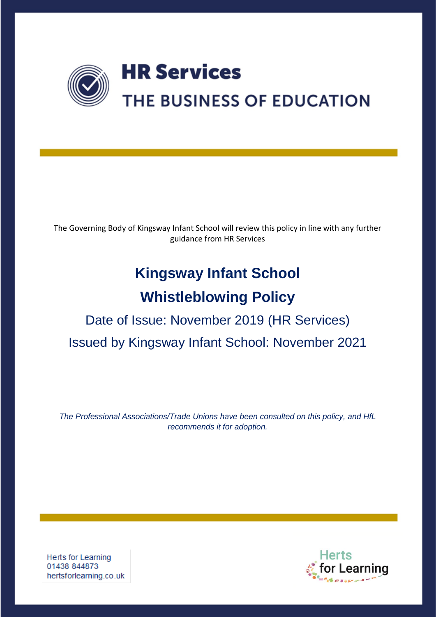

The Governing Body of Kingsway Infant School will review this policy in line with any further guidance from HR Services

# **Kingsway Infant School**

## **Whistleblowing Policy**

## Date of Issue: November 2019 (HR Services) Issued by Kingsway Infant School: November 2021

*The Professional Associations/Trade Unions have been consulted on this policy, and HfL recommends it for adoption.*

**Herts for Learning** 01438 844873 hertsforlearning.co.uk

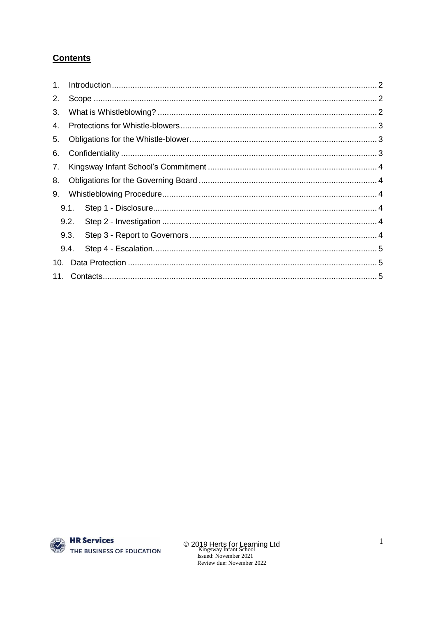## **Contents**



© 2019 Herts for Learning Ltd<br>Kingsway Infant School<br>Issued: November 2021 Review due: November 2022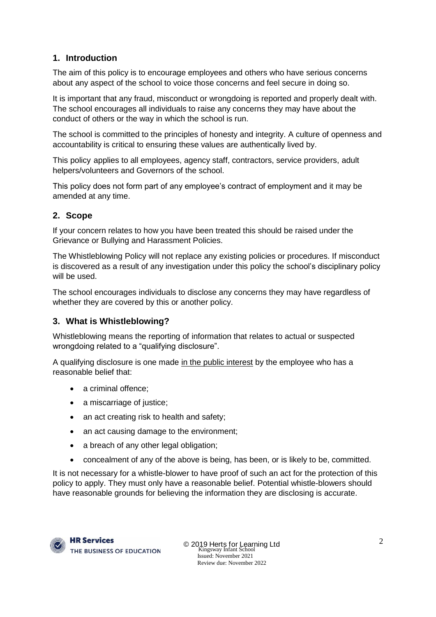## <span id="page-2-0"></span>**1. Introduction**

The aim of this policy is to encourage employees and others who have serious concerns about any aspect of the school to voice those concerns and feel secure in doing so.

It is important that any fraud, misconduct or wrongdoing is reported and properly dealt with. The school encourages all individuals to raise any concerns they may have about the conduct of others or the way in which the school is run.

The school is committed to the principles of honesty and integrity. A culture of openness and accountability is critical to ensuring these values are authentically lived by.

This policy applies to all employees, agency staff, contractors, service providers, adult helpers/volunteers and Governors of the school.

This policy does not form part of any employee's contract of employment and it may be amended at any time.

## <span id="page-2-1"></span>**2. Scope**

If your concern relates to how you have been treated this should be raised under the Grievance or Bullying and Harassment Policies.

The Whistleblowing Policy will not replace any existing policies or procedures. If misconduct is discovered as a result of any investigation under this policy the school's disciplinary policy will be used.

The school encourages individuals to disclose any concerns they may have regardless of whether they are covered by this or another policy.

## <span id="page-2-2"></span>**3. What is Whistleblowing?**

Whistleblowing means the reporting of information that relates to actual or suspected wrongdoing related to a "qualifying disclosure".

A qualifying disclosure is one made in the public interest by the employee who has a reasonable belief that:

- a criminal offence;
- a miscarriage of justice;
- an act creating risk to health and safety;
- an act causing damage to the environment;
- a breach of any other legal obligation;
- concealment of any of the above is being, has been, or is likely to be, committed.

It is not necessary for a whistle-blower to have proof of such an act for the protection of this policy to apply. They must only have a reasonable belief. Potential whistle-blowers should have reasonable grounds for believing the information they are disclosing is accurate.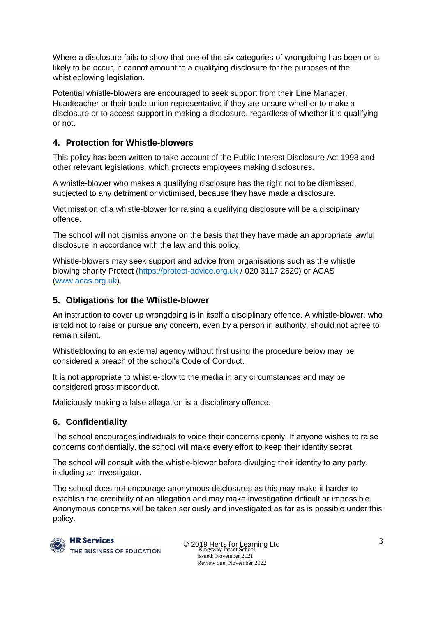Where a disclosure fails to show that one of the six categories of wrongdoing has been or is likely to be occur, it cannot amount to a qualifying disclosure for the purposes of the whistleblowing legislation.

Potential whistle-blowers are encouraged to seek support from their Line Manager, Headteacher or their trade union representative if they are unsure whether to make a disclosure or to access support in making a disclosure, regardless of whether it is qualifying or not.

## <span id="page-3-0"></span>**4. Protection for Whistle-blowers**

This policy has been written to take account of the Public Interest Disclosure Act 1998 and other relevant legislations, which protects employees making disclosures.

A whistle-blower who makes a qualifying disclosure has the right not to be dismissed, subjected to any detriment or victimised, because they have made a disclosure.

Victimisation of a whistle-blower for raising a qualifying disclosure will be a disciplinary offence.

The school will not dismiss anyone on the basis that they have made an appropriate lawful disclosure in accordance with the law and this policy.

Whistle-blowers may seek support and advice from organisations such as the whistle blowing charity Protect [\(https://protect-advice.org.uk](https://protect-advice.org.uk/) / 020 3117 2520) or ACAS [\(www.acas.org.uk\)](http://www.acas.org.uk/).

## <span id="page-3-1"></span>**5. Obligations for the Whistle-blower**

An instruction to cover up wrongdoing is in itself a disciplinary offence. A whistle-blower, who is told not to raise or pursue any concern, even by a person in authority, should not agree to remain silent.

Whistleblowing to an external agency without first using the procedure below may be considered a breach of the school's Code of Conduct.

It is not appropriate to whistle-blow to the media in any circumstances and may be considered gross misconduct.

Maliciously making a false allegation is a disciplinary offence.

## <span id="page-3-2"></span>**6. Confidentiality**

The school encourages individuals to voice their concerns openly. If anyone wishes to raise concerns confidentially, the school will make every effort to keep their identity secret.

The school will consult with the whistle-blower before divulging their identity to any party, including an investigator.

The school does not encourage anonymous disclosures as this may make it harder to establish the credibility of an allegation and may make investigation difficult or impossible. Anonymous concerns will be taken seriously and investigated as far as is possible under this policy.



**HR Services** THE BUSINESS OF EDUCATION

© 2019 Herts for Learning Ltd Kingsway Infant School Issued: November 2021 Review due: November 2022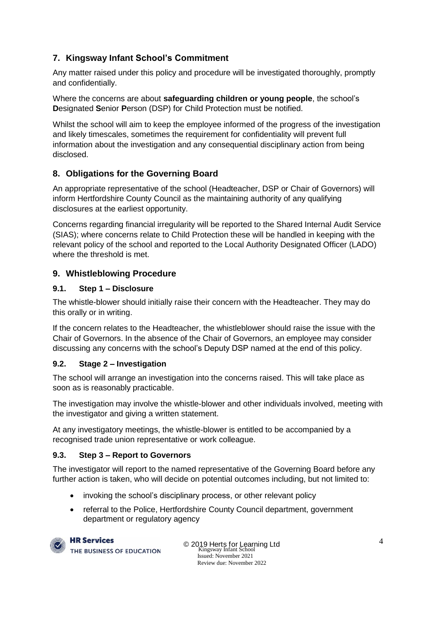## <span id="page-4-0"></span>**7. Kingsway Infant School's Commitment**

Any matter raised under this policy and procedure will be investigated thoroughly, promptly and confidentially.

Where the concerns are about **safeguarding children or young people**, the school's **D**esignated **S**enior **P**erson (DSP) for Child Protection must be notified.

Whilst the school will aim to keep the employee informed of the progress of the investigation and likely timescales, sometimes the requirement for confidentiality will prevent full information about the investigation and any consequential disciplinary action from being disclosed.

## <span id="page-4-1"></span>**8. Obligations for the Governing Board**

An appropriate representative of the school (Headteacher, DSP or Chair of Governors) will inform Hertfordshire County Council as the maintaining authority of any qualifying disclosures at the earliest opportunity.

Concerns regarding financial irregularity will be reported to the Shared Internal Audit Service (SIAS); where concerns relate to Child Protection these will be handled in keeping with the relevant policy of the school and reported to the Local Authority Designated Officer (LADO) where the threshold is met.

## <span id="page-4-2"></span>**9. Whistleblowing Procedure**

## <span id="page-4-3"></span>**9.1. Step 1 – Disclosure**

The whistle-blower should initially raise their concern with the Headteacher. They may do this orally or in writing.

If the concern relates to the Headteacher, the whistleblower should raise the issue with the Chair of Governors. In the absence of the Chair of Governors, an employee may consider discussing any concerns with the school's Deputy DSP named at the end of this policy.

## <span id="page-4-4"></span>**9.2. Stage 2 – Investigation**

The school will arrange an investigation into the concerns raised. This will take place as soon as is reasonably practicable.

The investigation may involve the whistle-blower and other individuals involved, meeting with the investigator and giving a written statement.

At any investigatory meetings, the whistle-blower is entitled to be accompanied by a recognised trade union representative or work colleague.

## <span id="page-4-5"></span>**9.3. Step 3 – Report to Governors**

The investigator will report to the named representative of the Governing Board before any further action is taken, who will decide on potential outcomes including, but not limited to:

- invoking the school's disciplinary process, or other relevant policy
- referral to the Police, Hertfordshire County Council department, government department or regulatory agency



**HR Services** THE BUSINESS OF EDUCATION